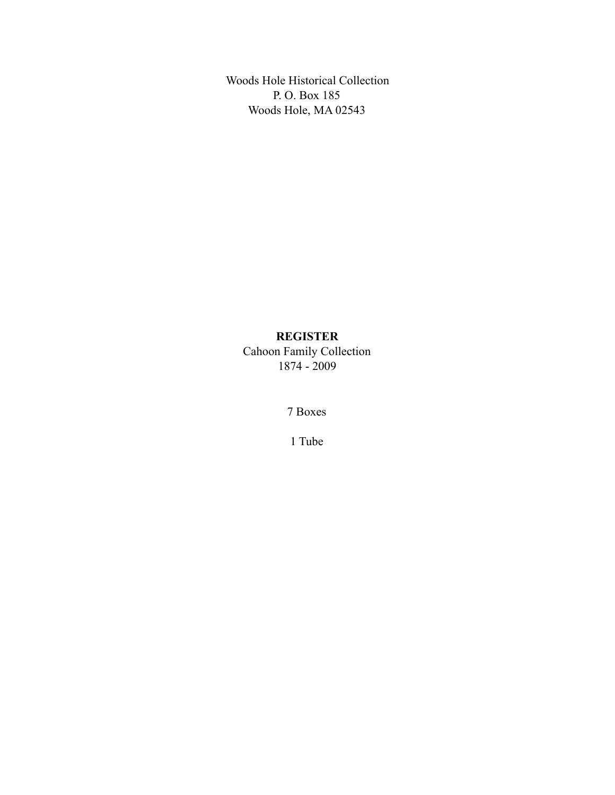Woods Hole Historical Collection P. O. Box 185 Woods Hole, MA 02543

# **REGISTER**

Cahoon Family Collection 1874 - 2009

7 Boxes

1 Tube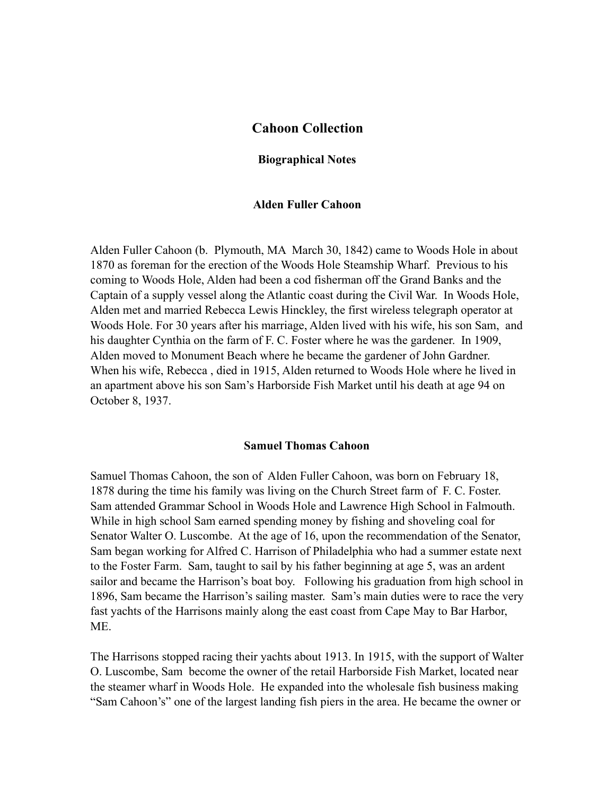## **Cahoon Collection**

### **Biographical Notes**

### **Alden Fuller Cahoon**

Alden Fuller Cahoon (b. Plymouth, MA March 30, 1842) came to Woods Hole in about 1870 as foreman for the erection of the Woods Hole Steamship Wharf. Previous to his coming to Woods Hole, Alden had been a cod fisherman off the Grand Banks and the Captain of a supply vessel along the Atlantic coast during the Civil War. In Woods Hole, Alden met and married Rebecca Lewis Hinckley, the first wireless telegraph operator at Woods Hole. For 30 years after his marriage, Alden lived with his wife, his son Sam, and his daughter Cynthia on the farm of F. C. Foster where he was the gardener. In 1909, Alden moved to Monument Beach where he became the gardener of John Gardner. When his wife, Rebecca , died in 1915, Alden returned to Woods Hole where he lived in an apartment above his son Sam's Harborside Fish Market until his death at age 94 on October 8, 1937.

#### **Samuel Thomas Cahoon**

Samuel Thomas Cahoon, the son of Alden Fuller Cahoon, was born on February 18, 1878 during the time his family was living on the Church Street farm of F. C. Foster. Sam attended Grammar School in Woods Hole and Lawrence High School in Falmouth. While in high school Sam earned spending money by fishing and shoveling coal for Senator Walter O. Luscombe. At the age of 16, upon the recommendation of the Senator, Sam began working for Alfred C. Harrison of Philadelphia who had a summer estate next to the Foster Farm. Sam, taught to sail by his father beginning at age 5, was an ardent sailor and became the Harrison's boat boy. Following his graduation from high school in 1896, Sam became the Harrison's sailing master. Sam's main duties were to race the very fast yachts of the Harrisons mainly along the east coast from Cape May to Bar Harbor, ME.

The Harrisons stopped racing their yachts about 1913. In 1915, with the support of Walter O. Luscombe, Sam become the owner of the retail Harborside Fish Market, located near the steamer wharf in Woods Hole. He expanded into the wholesale fish business making "Sam Cahoon's" one of the largest landing fish piers in the area. He became the owner or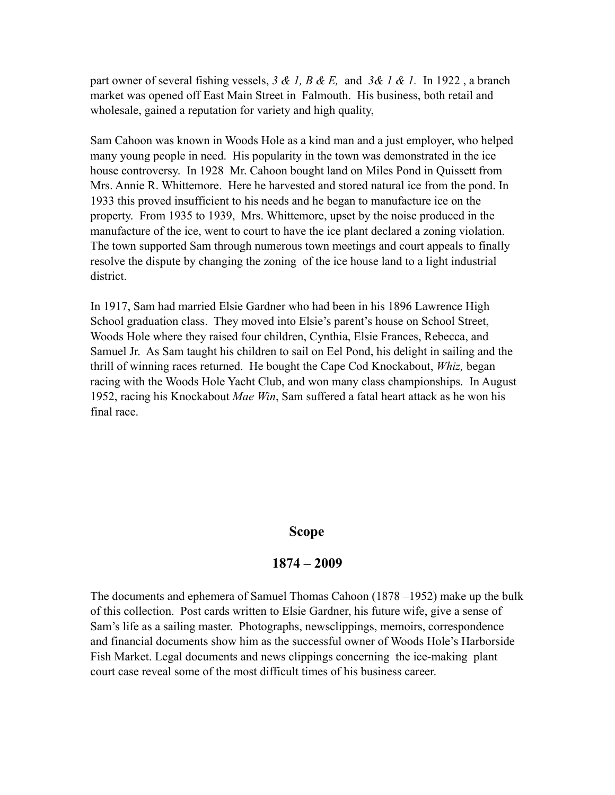part owner of several fishing vessels, *3 & 1, B & E,* and *3& 1 & 1.* In 1922 , a branch market was opened off East Main Street in Falmouth. His business, both retail and wholesale, gained a reputation for variety and high quality,

Sam Cahoon was known in Woods Hole as a kind man and a just employer, who helped many young people in need. His popularity in the town was demonstrated in the ice house controversy. In 1928 Mr. Cahoon bought land on Miles Pond in Quissett from Mrs. Annie R. Whittemore. Here he harvested and stored natural ice from the pond. In 1933 this proved insufficient to his needs and he began to manufacture ice on the property. From 1935 to 1939, Mrs. Whittemore, upset by the noise produced in the manufacture of the ice, went to court to have the ice plant declared a zoning violation. The town supported Sam through numerous town meetings and court appeals to finally resolve the dispute by changing the zoning of the ice house land to a light industrial district.

In 1917, Sam had married Elsie Gardner who had been in his 1896 Lawrence High School graduation class. They moved into Elsie's parent's house on School Street, Woods Hole where they raised four children, Cynthia, Elsie Frances, Rebecca, and Samuel Jr. As Sam taught his children to sail on Eel Pond, his delight in sailing and the thrill of winning races returned. He bought the Cape Cod Knockabout, *Whiz,* began racing with the Woods Hole Yacht Club, and won many class championships. In August 1952, racing his Knockabout *Mae Win*, Sam suffered a fatal heart attack as he won his final race.

## **Scope**

## **1874 – 2009**

The documents and ephemera of Samuel Thomas Cahoon (1878 –1952) make up the bulk of this collection. Post cards written to Elsie Gardner, his future wife, give a sense of Sam's life as a sailing master. Photographs, newsclippings, memoirs, correspondence and financial documents show him as the successful owner of Woods Hole's Harborside Fish Market. Legal documents and news clippings concerning the ice-making plant court case reveal some of the most difficult times of his business career.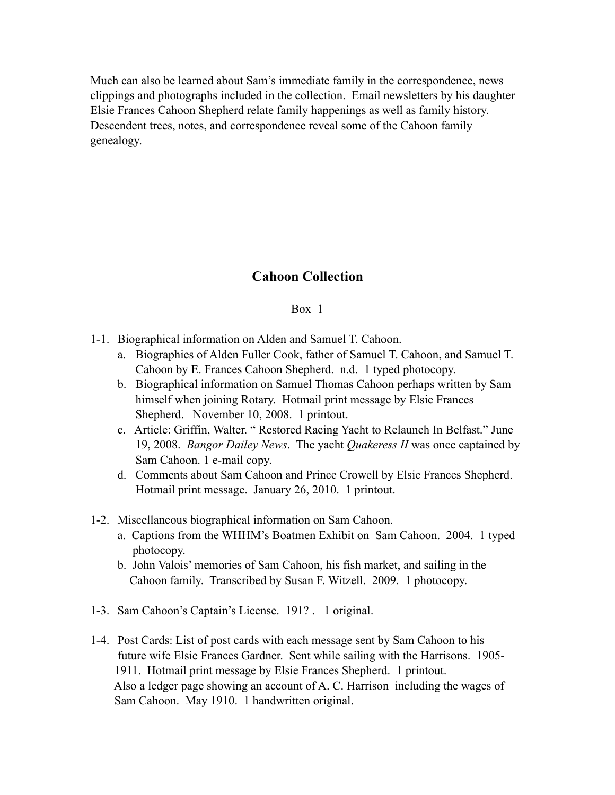Much can also be learned about Sam's immediate family in the correspondence, news clippings and photographs included in the collection. Email newsletters by his daughter Elsie Frances Cahoon Shepherd relate family happenings as well as family history. Descendent trees, notes, and correspondence reveal some of the Cahoon family genealogy.

# **Cahoon Collection**

## Box 1

- 1-1. Biographical information on Alden and Samuel T. Cahoon.
	- a. Biographies of Alden Fuller Cook, father of Samuel T. Cahoon, and Samuel T. Cahoon by E. Frances Cahoon Shepherd. n.d. 1 typed photocopy.
	- b. Biographical information on Samuel Thomas Cahoon perhaps written by Sam himself when joining Rotary. Hotmail print message by Elsie Frances Shepherd. November 10, 2008. 1 printout.
	- c. Article: Griffin, Walter. " Restored Racing Yacht to Relaunch In Belfast." June 19, 2008. *Bangor Dailey News*. The yacht *Quakeress II* was once captained by Sam Cahoon. 1 e-mail copy.
	- d. Comments about Sam Cahoon and Prince Crowell by Elsie Frances Shepherd. Hotmail print message. January 26, 2010. 1 printout.
- 1-2. Miscellaneous biographical information on Sam Cahoon.
	- a. Captions from the WHHM's Boatmen Exhibit on Sam Cahoon. 2004. 1 typed photocopy.
	- b. John Valois' memories of Sam Cahoon, his fish market, and sailing in the Cahoon family. Transcribed by Susan F. Witzell. 2009. 1 photocopy.
- 1-3. Sam Cahoon's Captain's License. 191? . 1 original.
- 1-4. Post Cards: List of post cards with each message sent by Sam Cahoon to his future wife Elsie Frances Gardner. Sent while sailing with the Harrisons. 1905- 1911. Hotmail print message by Elsie Frances Shepherd. 1 printout. Also a ledger page showing an account of A. C. Harrison including the wages of Sam Cahoon. May 1910. 1 handwritten original.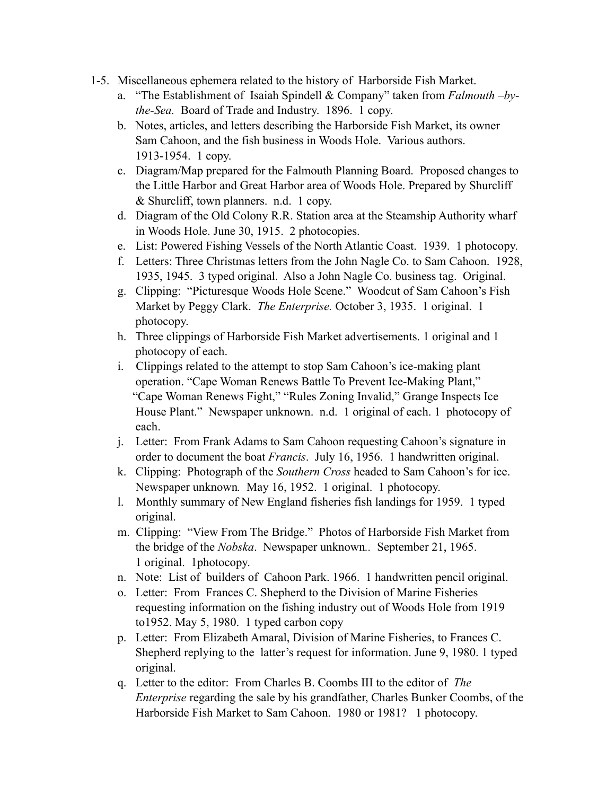- 1-5. Miscellaneous ephemera related to the history of Harborside Fish Market.
	- a. "The Establishment of Isaiah Spindell & Company" taken from *Falmouth –bythe-Sea.* Board of Trade and Industry. 1896. 1 copy.
	- b. Notes, articles, and letters describing the Harborside Fish Market, its owner Sam Cahoon, and the fish business in Woods Hole. Various authors. 1913-1954. 1 copy.
	- c. Diagram/Map prepared for the Falmouth Planning Board. Proposed changes to the Little Harbor and Great Harbor area of Woods Hole. Prepared by Shurcliff & Shurcliff, town planners. n.d. 1 copy.
	- d. Diagram of the Old Colony R.R. Station area at the Steamship Authority wharf in Woods Hole. June 30, 1915. 2 photocopies.
	- e. List: Powered Fishing Vessels of the North Atlantic Coast. 1939. 1 photocopy.
	- f. Letters: Three Christmas letters from the John Nagle Co. to Sam Cahoon. 1928, 1935, 1945. 3 typed original. Also a John Nagle Co. business tag. Original.
	- g. Clipping: "Picturesque Woods Hole Scene." Woodcut of Sam Cahoon's Fish Market by Peggy Clark. *The Enterprise.* October 3, 1935. 1 original. 1 photocopy.
	- h. Three clippings of Harborside Fish Market advertisements. 1 original and 1 photocopy of each.
	- i. Clippings related to the attempt to stop Sam Cahoon's ice-making plant operation. "Cape Woman Renews Battle To Prevent Ice-Making Plant," "Cape Woman Renews Fight," "Rules Zoning Invalid," Grange Inspects Ice House Plant." Newspaper unknown. n.d. 1 original of each. 1 photocopy of each.
	- j. Letter: From Frank Adams to Sam Cahoon requesting Cahoon's signature in order to document the boat *Francis*. July 16, 1956. 1 handwritten original.
	- k. Clipping: Photograph of the *Southern Cross* headed to Sam Cahoon's for ice. Newspaper unknown*.* May 16, 1952. 1 original. 1 photocopy.
	- l. Monthly summary of New England fisheries fish landings for 1959. 1 typed original.
	- m. Clipping: "View From The Bridge." Photos of Harborside Fish Market from the bridge of the *Nobska*. Newspaper unknown*..* September 21, 1965. 1 original. 1photocopy.
	- n. Note: List of builders of Cahoon Park. 1966. 1 handwritten pencil original.
	- o. Letter: From Frances C. Shepherd to the Division of Marine Fisheries requesting information on the fishing industry out of Woods Hole from 1919 to1952. May 5, 1980. 1 typed carbon copy
	- p. Letter: From Elizabeth Amaral, Division of Marine Fisheries, to Frances C. Shepherd replying to the latter's request for information. June 9, 1980. 1 typed original.
	- q. Letter to the editor: From Charles B. Coombs III to the editor of *The Enterprise* regarding the sale by his grandfather, Charles Bunker Coombs, of the Harborside Fish Market to Sam Cahoon. 1980 or 1981? 1 photocopy.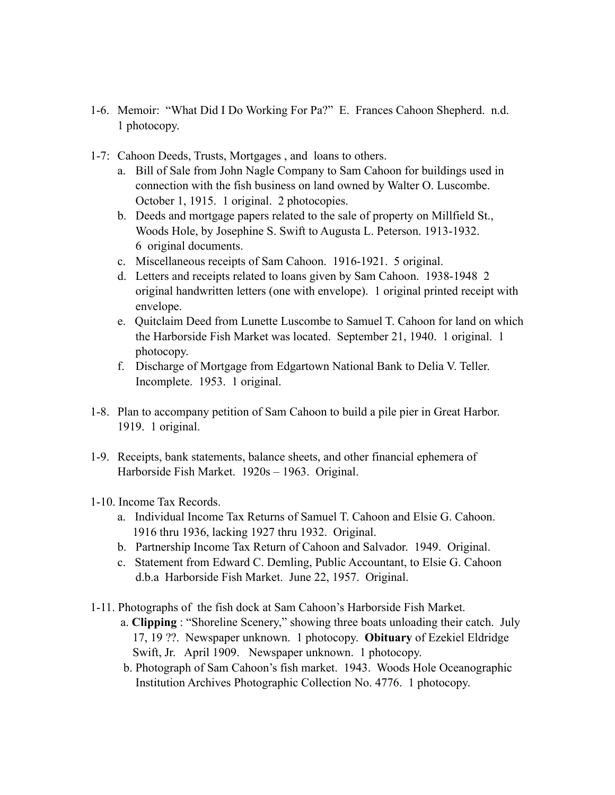- 1-6. Memoir: "What Did I Do Working For Pa?" E. Frances Cahoon Shepherd. n.d. 1 photocopy.
- 1-7: Cahoon Deeds, Trusts, Mortgages , and loans to others.
	- a. Bill of Sale from John Nagle Company to Sam Cahoon for buildings used in connection with the fish business on land owned by Walter O. Luscombe. October 1, 1915. 1 original. 2 photocopies.
	- b. Deeds and mortgage papers related to the sale of property on Millfield St., Woods Hole, by Josephine S. Swift to Augusta L. Peterson. 1913-1932. 6 original documents.
	- c. Miscellaneous receipts of Sam Cahoon. 1916-1921. 5 original.
	- d. Letters and receipts related to loans given by Sam Cahoon. 1938-1948 2 original handwritten letters (one with envelope). 1 original printed receipt with envelope.
	- e. Quitclaim Deed from Lunette Luscombe to Samuel T. Cahoon for land on which the Harborside Fish Market was located. September 21, 1940. 1 original. 1 photocopy.
	- f. Discharge of Mortgage from Edgartown National Bank to Delia V. Teller. Incomplete. 1953. 1 original.
- 1-8. Plan to accompany petition of Sam Cahoon to build a pile pier in Great Harbor. 1919. 1 original.
- 1-9. Receipts, bank statements, balance sheets, and other financial ephemera of Harborside Fish Market. 1920s – 1963. Original.
- 1-10. Income Tax Records.
	- a. Individual Income Tax Returns of Samuel T. Cahoon and Elsie G. Cahoon. 1916 thru 1936, lacking 1927 thru 1932. Original.
	- b. Partnership Income Tax Return of Cahoon and Salvador. 1949. Original.
	- c. Statement from Edward C. Demling, Public Accountant, to Elsie G. Cahoon d.b.a Harborside Fish Market. June 22, 1957. Original.
- 1-11. Photographs of the fish dock at Sam Cahoon's Harborside Fish Market.
	- a. **Clipping** : "Shoreline Scenery," showing three boats unloading their catch. July 17, 19 ??. Newspaper unknown. 1 photocopy. **Obituary** of Ezekiel Eldridge Swift, Jr. April 1909. Newspaper unknown. 1 photocopy.
	- b. Photograph of Sam Cahoon's fish market. 1943. Woods Hole Oceanographic Institution Archives Photographic Collection No. 4776. 1 photocopy.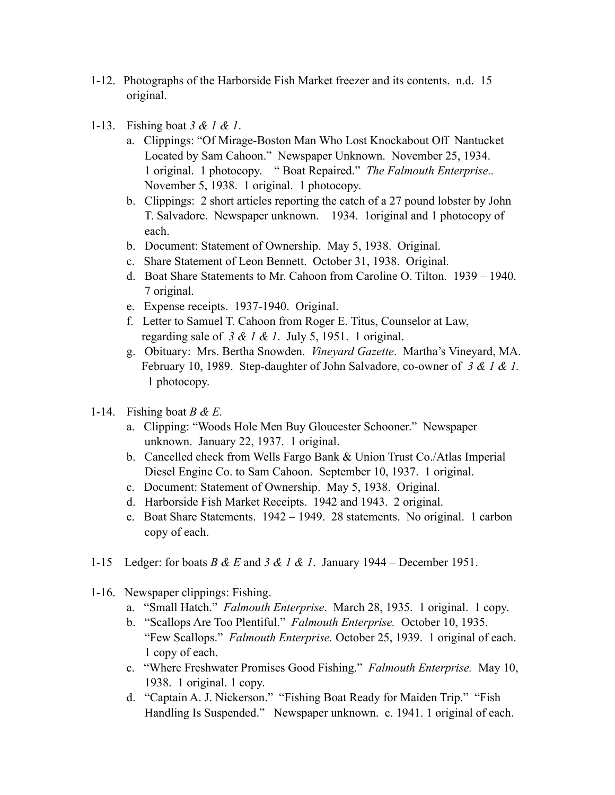- 1-12. Photographs of the Harborside Fish Market freezer and its contents. n.d. 15 original.
- 1-13. Fishing boat *3 & 1 & 1*.
	- a. Clippings: "Of Mirage-Boston Man Who Lost Knockabout Off Nantucket Located by Sam Cahoon." Newspaper Unknown. November 25, 1934. 1 original. 1 photocopy. " Boat Repaired." *The Falmouth Enterprise..* November 5, 1938. 1 original. 1 photocopy.
	- b. Clippings: 2 short articles reporting the catch of a 27 pound lobster by John T. Salvadore. Newspaper unknown. 1934. 1original and 1 photocopy of each.
	- b. Document: Statement of Ownership. May 5, 1938. Original.
	- c. Share Statement of Leon Bennett. October 31, 1938. Original.
	- d. Boat Share Statements to Mr. Cahoon from Caroline O. Tilton. 1939 1940. 7 original.
	- e. Expense receipts. 1937-1940. Original.
	- f. Letter to Samuel T. Cahoon from Roger E. Titus, Counselor at Law, regarding sale of *3 & 1 & 1*. July 5, 1951. 1 original.
	- g. Obituary: Mrs. Bertha Snowden. *Vineyard Gazette*. Martha's Vineyard, MA. February 10, 1989. Step-daughter of John Salvadore, co-owner of *3 & 1 & 1.* 1 photocopy.
- 1-14. Fishing boat *B & E.*
	- a. Clipping: "Woods Hole Men Buy Gloucester Schooner." Newspaper unknown. January 22, 1937. 1 original.
	- b. Cancelled check from Wells Fargo Bank & Union Trust Co./Atlas Imperial Diesel Engine Co. to Sam Cahoon. September 10, 1937. 1 original.
	- c. Document: Statement of Ownership. May 5, 1938. Original.
	- d. Harborside Fish Market Receipts. 1942 and 1943. 2 original.
	- e. Boat Share Statements. 1942 1949. 28 statements. No original. 1 carbon copy of each.
- 1-15 Ledger: for boats *B & E* and *3 & 1 & 1*. January 1944 December 1951.
- 1-16. Newspaper clippings: Fishing.
	- a. "Small Hatch." *Falmouth Enterprise*. March 28, 1935. 1 original. 1 copy.
	- b. "Scallops Are Too Plentiful." *Falmouth Enterprise.* October 10, 1935. "Few Scallops." *Falmouth Enterprise.* October 25, 1939. 1 original of each. 1 copy of each.
	- c. "Where Freshwater Promises Good Fishing." *Falmouth Enterprise.* May 10, 1938. 1 original. 1 copy.
	- d. "Captain A. J. Nickerson." "Fishing Boat Ready for Maiden Trip." "Fish Handling Is Suspended." Newspaper unknown. c. 1941. 1 original of each.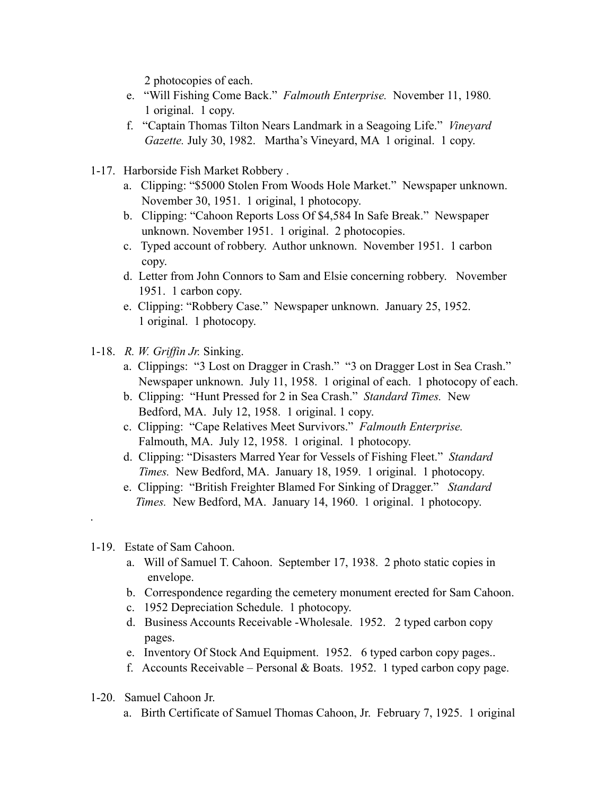2 photocopies of each.

- e. "Will Fishing Come Back." *Falmouth Enterprise.* November 11, 1980*.* 1 original. 1 copy.
- f. "Captain Thomas Tilton Nears Landmark in a Seagoing Life." *Vineyard Gazette.* July 30, 1982. Martha's Vineyard, MA 1 original. 1 copy.
- 1-17. Harborside Fish Market Robbery .
	- a. Clipping: "\$5000 Stolen From Woods Hole Market." Newspaper unknown. November 30, 1951. 1 original, 1 photocopy.
	- b. Clipping: "Cahoon Reports Loss Of \$4,584 In Safe Break." Newspaper unknown. November 1951. 1 original. 2 photocopies.
	- c. Typed account of robbery. Author unknown. November 1951. 1 carbon copy.
	- d. Letter from John Connors to Sam and Elsie concerning robbery. November 1951. 1 carbon copy.
	- e. Clipping: "Robbery Case." Newspaper unknown. January 25, 1952. 1 original. 1 photocopy.
- 1-18. *R. W. Griffin Jr.* Sinking.
	- a. Clippings: "3 Lost on Dragger in Crash." "3 on Dragger Lost in Sea Crash." Newspaper unknown. July 11, 1958. 1 original of each. 1 photocopy of each.
	- b. Clipping: "Hunt Pressed for 2 in Sea Crash." *Standard Times.* New Bedford, MA. July 12, 1958. 1 original. 1 copy.
	- c. Clipping: "Cape Relatives Meet Survivors." *Falmouth Enterprise.* Falmouth, MA. July 12, 1958. 1 original. 1 photocopy.
	- d. Clipping: "Disasters Marred Year for Vessels of Fishing Fleet." *Standard Times.* New Bedford, MA. January 18, 1959. 1 original. 1 photocopy.
	- e. Clipping: "British Freighter Blamed For Sinking of Dragger." *Standard Times.* New Bedford, MA. January 14, 1960. 1 original. 1 photocopy.

## 1-19. Estate of Sam Cahoon.

.

- a. Will of Samuel T. Cahoon. September 17, 1938. 2 photo static copies in envelope.
- b. Correspondence regarding the cemetery monument erected for Sam Cahoon.
- c. 1952 Depreciation Schedule. 1 photocopy.
- d. Business Accounts Receivable -Wholesale. 1952. 2 typed carbon copy pages.
- e. Inventory Of Stock And Equipment. 1952. 6 typed carbon copy pages..
- f. Accounts Receivable Personal & Boats. 1952. 1 typed carbon copy page.
- 1-20. Samuel Cahoon Jr.
	- a. Birth Certificate of Samuel Thomas Cahoon, Jr. February 7, 1925. 1 original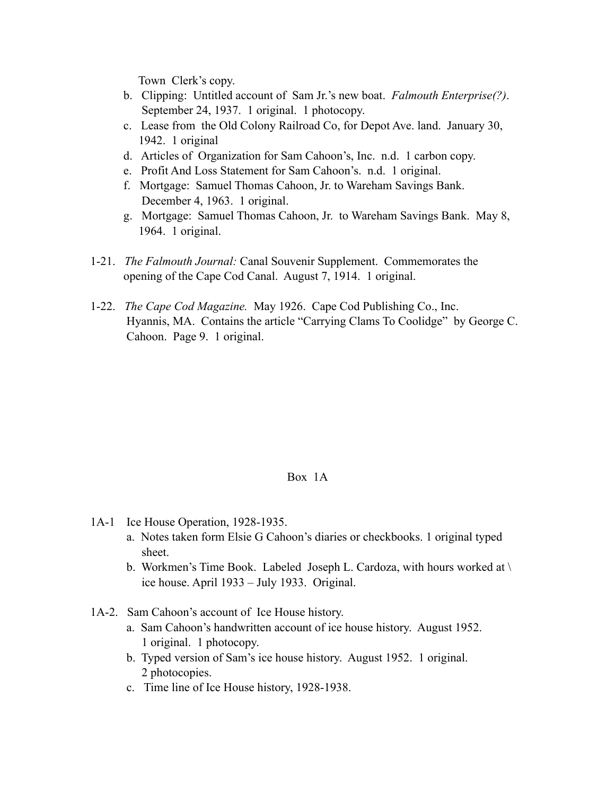Town Clerk's copy.

- b. Clipping: Untitled account of Sam Jr.'s new boat. *Falmouth Enterprise(?)*. September 24, 1937. 1 original. 1 photocopy.
- c. Lease from the Old Colony Railroad Co, for Depot Ave. land. January 30, 1942. 1 original
- d. Articles of Organization for Sam Cahoon's, Inc. n.d. 1 carbon copy.
- e. Profit And Loss Statement for Sam Cahoon's. n.d. 1 original.
- f. Mortgage: Samuel Thomas Cahoon, Jr. to Wareham Savings Bank. December 4, 1963. 1 original.
- g. Mortgage: Samuel Thomas Cahoon, Jr. to Wareham Savings Bank. May 8, 1964. 1 original.
- 1-21. *The Falmouth Journal:* Canal Souvenir Supplement. Commemorates the opening of the Cape Cod Canal. August 7, 1914. 1 original.
- 1-22. *The Cape Cod Magazine.* May 1926. Cape Cod Publishing Co., Inc. Hyannis, MA. Contains the article "Carrying Clams To Coolidge" by George C. Cahoon. Page 9. 1 original.

### Box 1A

- 1A-1 Ice House Operation, 1928-1935.
	- a. Notes taken form Elsie G Cahoon's diaries or checkbooks. 1 original typed sheet.
	- b. Workmen's Time Book. Labeled Joseph L. Cardoza, with hours worked at \ ice house. April 1933 – July 1933. Original.
- 1A-2. Sam Cahoon's account of Ice House history.
	- a. Sam Cahoon's handwritten account of ice house history. August 1952. 1 original. 1 photocopy.
	- b. Typed version of Sam's ice house history. August 1952. 1 original. 2 photocopies.
	- c. Time line of Ice House history, 1928-1938.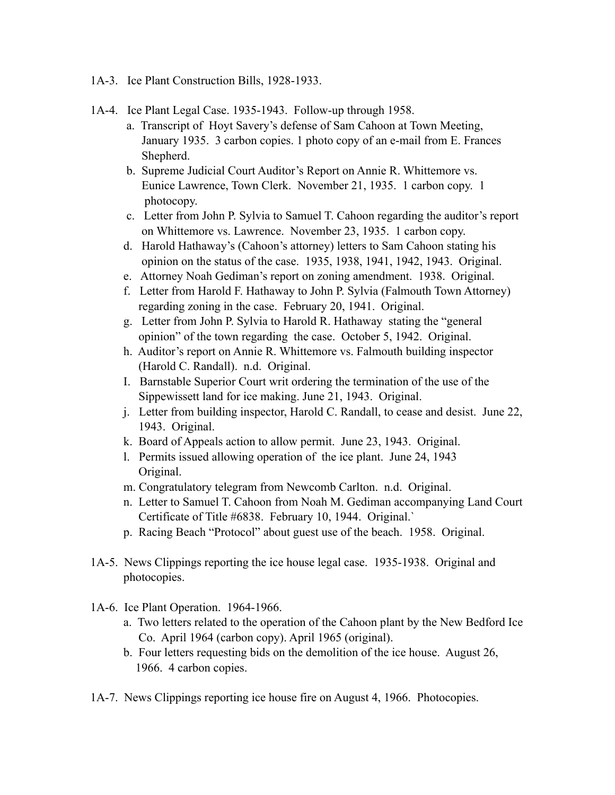- 1A-3. Ice Plant Construction Bills, 1928-1933.
- 1A-4. Ice Plant Legal Case. 1935-1943. Follow-up through 1958.
	- a. Transcript of Hoyt Savery's defense of Sam Cahoon at Town Meeting, January 1935. 3 carbon copies. 1 photo copy of an e-mail from E. Frances Shepherd.
	- b. Supreme Judicial Court Auditor's Report on Annie R. Whittemore vs. Eunice Lawrence, Town Clerk. November 21, 1935. 1 carbon copy. 1 photocopy.
	- c. Letter from John P. Sylvia to Samuel T. Cahoon regarding the auditor's report on Whittemore vs. Lawrence. November 23, 1935. 1 carbon copy.
	- d. Harold Hathaway's (Cahoon's attorney) letters to Sam Cahoon stating his opinion on the status of the case. 1935, 1938, 1941, 1942, 1943. Original.
	- e. Attorney Noah Gediman's report on zoning amendment. 1938. Original.
	- f. Letter from Harold F. Hathaway to John P. Sylvia (Falmouth Town Attorney) regarding zoning in the case. February 20, 1941. Original.
	- g. Letter from John P. Sylvia to Harold R. Hathaway stating the "general opinion" of the town regarding the case. October 5, 1942. Original.
	- h. Auditor's report on Annie R. Whittemore vs. Falmouth building inspector (Harold C. Randall). n.d. Original.
	- I. Barnstable Superior Court writ ordering the termination of the use of the Sippewissett land for ice making. June 21, 1943. Original.
	- j. Letter from building inspector, Harold C. Randall, to cease and desist. June 22, 1943. Original.
	- k. Board of Appeals action to allow permit. June 23, 1943. Original.
	- l. Permits issued allowing operation of the ice plant. June 24, 1943 Original.
	- m. Congratulatory telegram from Newcomb Carlton. n.d. Original.
	- n. Letter to Samuel T. Cahoon from Noah M. Gediman accompanying Land Court Certificate of Title #6838. February 10, 1944. Original.`
	- p. Racing Beach "Protocol" about guest use of the beach. 1958. Original.
- 1A-5. News Clippings reporting the ice house legal case. 1935-1938. Original and photocopies.
- 1A-6. Ice Plant Operation. 1964-1966.
	- a. Two letters related to the operation of the Cahoon plant by the New Bedford Ice Co. April 1964 (carbon copy). April 1965 (original).
	- b. Four letters requesting bids on the demolition of the ice house. August 26, 1966. 4 carbon copies.
- 1A-7. News Clippings reporting ice house fire on August 4, 1966. Photocopies.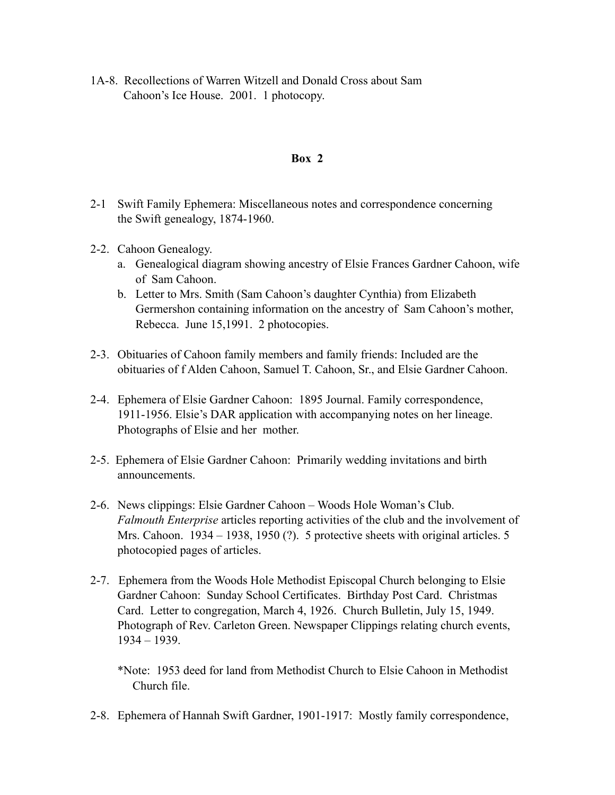1A-8. Recollections of Warren Witzell and Donald Cross about Sam Cahoon's Ice House. 2001. 1 photocopy.

### **Box 2**

- 2-1 Swift Family Ephemera: Miscellaneous notes and correspondence concerning the Swift genealogy, 1874-1960.
- 2-2. Cahoon Genealogy.
	- a. Genealogical diagram showing ancestry of Elsie Frances Gardner Cahoon, wife of Sam Cahoon.
	- b. Letter to Mrs. Smith (Sam Cahoon's daughter Cynthia) from Elizabeth Germershon containing information on the ancestry of Sam Cahoon's mother, Rebecca. June 15,1991. 2 photocopies.
- 2-3. Obituaries of Cahoon family members and family friends: Included are the obituaries of f Alden Cahoon, Samuel T. Cahoon, Sr., and Elsie Gardner Cahoon.
- 2-4. Ephemera of Elsie Gardner Cahoon: 1895 Journal. Family correspondence, 1911-1956. Elsie's DAR application with accompanying notes on her lineage. Photographs of Elsie and her mother.
- 2-5. Ephemera of Elsie Gardner Cahoon: Primarily wedding invitations and birth announcements.
- 2-6. News clippings: Elsie Gardner Cahoon Woods Hole Woman's Club. *Falmouth Enterprise* articles reporting activities of the club and the involvement of Mrs. Cahoon. 1934 – 1938, 1950 (?). 5 protective sheets with original articles. 5 photocopied pages of articles.
- 2-7. Ephemera from the Woods Hole Methodist Episcopal Church belonging to Elsie Gardner Cahoon: Sunday School Certificates. Birthday Post Card. Christmas Card. Letter to congregation, March 4, 1926. Church Bulletin, July 15, 1949. Photograph of Rev. Carleton Green. Newspaper Clippings relating church events, 1934 – 1939.
	- \*Note: 1953 deed for land from Methodist Church to Elsie Cahoon in Methodist Church file.
- 2-8. Ephemera of Hannah Swift Gardner, 1901-1917: Mostly family correspondence,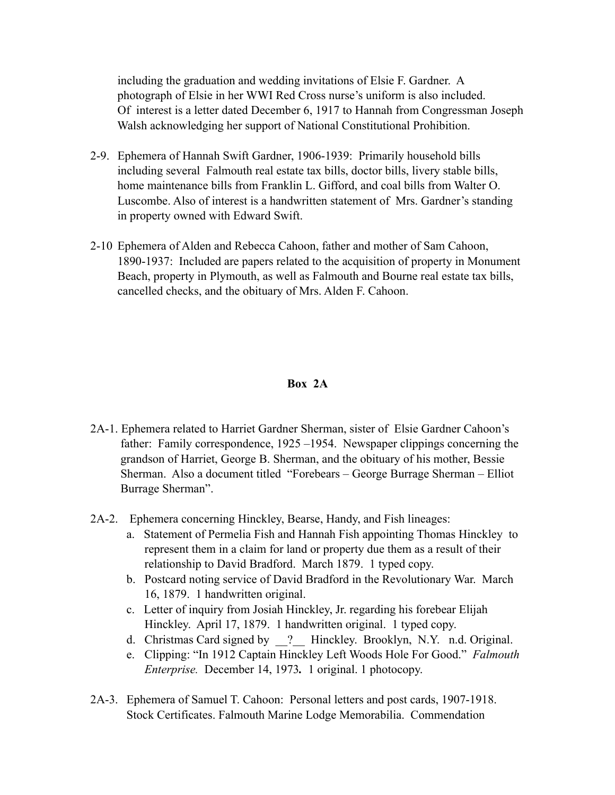including the graduation and wedding invitations of Elsie F. Gardner. A photograph of Elsie in her WWI Red Cross nurse's uniform is also included. Of interest is a letter dated December 6, 1917 to Hannah from Congressman Joseph Walsh acknowledging her support of National Constitutional Prohibition.

- 2-9. Ephemera of Hannah Swift Gardner, 1906-1939: Primarily household bills including several Falmouth real estate tax bills, doctor bills, livery stable bills, home maintenance bills from Franklin L. Gifford, and coal bills from Walter O. Luscombe. Also of interest is a handwritten statement of Mrs. Gardner's standing in property owned with Edward Swift.
- 2-10 Ephemera of Alden and Rebecca Cahoon, father and mother of Sam Cahoon, 1890-1937: Included are papers related to the acquisition of property in Monument Beach, property in Plymouth, as well as Falmouth and Bourne real estate tax bills, cancelled checks, and the obituary of Mrs. Alden F. Cahoon.

## **Box 2A**

- 2A-1. Ephemera related to Harriet Gardner Sherman, sister of Elsie Gardner Cahoon's father: Family correspondence, 1925 –1954. Newspaper clippings concerning the grandson of Harriet, George B. Sherman, and the obituary of his mother, Bessie Sherman. Also a document titled "Forebears – George Burrage Sherman – Elliot Burrage Sherman".
- 2A-2. Ephemera concerning Hinckley, Bearse, Handy, and Fish lineages:
	- a. Statement of Permelia Fish and Hannah Fish appointing Thomas Hinckley to represent them in a claim for land or property due them as a result of their relationship to David Bradford. March 1879. 1 typed copy.
	- b. Postcard noting service of David Bradford in the Revolutionary War. March 16, 1879. 1 handwritten original.
	- c. Letter of inquiry from Josiah Hinckley, Jr. regarding his forebear Elijah Hinckley. April 17, 1879. 1 handwritten original. 1 typed copy.
	- d. Christmas Card signed by ? Hinckley. Brooklyn, N.Y. n.d. Original.
	- e. Clipping: "In 1912 Captain Hinckley Left Woods Hole For Good." *Falmouth Enterprise.* December 14, 1973. 1 original. 1 photocopy.
- 2A-3. Ephemera of Samuel T. Cahoon: Personal letters and post cards, 1907-1918. Stock Certificates. Falmouth Marine Lodge Memorabilia. Commendation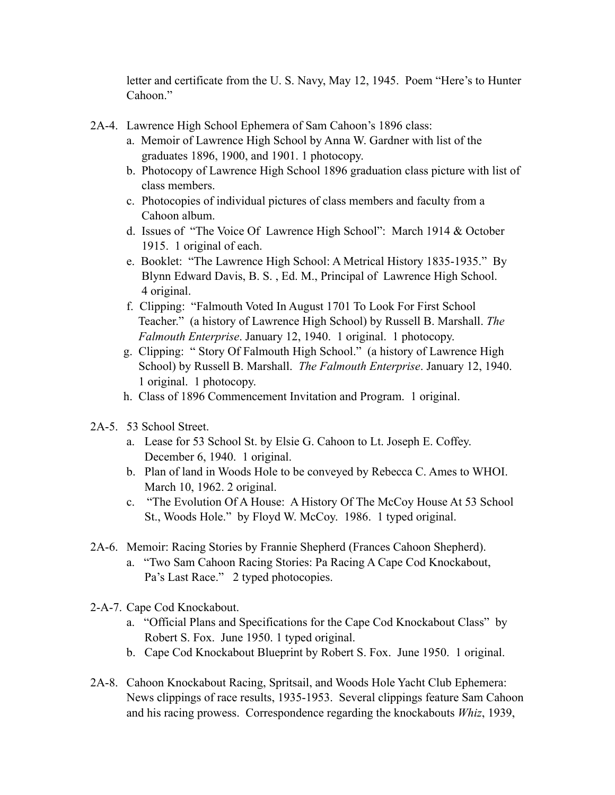letter and certificate from the U. S. Navy, May 12, 1945. Poem "Here's to Hunter Cahoon."

- 2A-4. Lawrence High School Ephemera of Sam Cahoon's 1896 class:
	- a. Memoir of Lawrence High School by Anna W. Gardner with list of the graduates 1896, 1900, and 1901. 1 photocopy.
	- b. Photocopy of Lawrence High School 1896 graduation class picture with list of class members.
	- c. Photocopies of individual pictures of class members and faculty from a Cahoon album.
	- d. Issues of "The Voice Of Lawrence High School": March 1914 & October 1915. 1 original of each.
	- e. Booklet: "The Lawrence High School: A Metrical History 1835-1935." By Blynn Edward Davis, B. S. , Ed. M., Principal of Lawrence High School. 4 original.
	- f. Clipping: "Falmouth Voted In August 1701 To Look For First School Teacher." (a history of Lawrence High School) by Russell B. Marshall. *The Falmouth Enterprise*. January 12, 1940. 1 original. 1 photocopy.
	- g. Clipping: " Story Of Falmouth High School." (a history of Lawrence High School) by Russell B. Marshall. *The Falmouth Enterprise*. January 12, 1940. 1 original. 1 photocopy.
	- h. Class of 1896 Commencement Invitation and Program. 1 original.
- 2A-5. 53 School Street.
	- a. Lease for 53 School St. by Elsie G. Cahoon to Lt. Joseph E. Coffey. December 6, 1940. 1 original.
	- b. Plan of land in Woods Hole to be conveyed by Rebecca C. Ames to WHOI. March 10, 1962. 2 original.
	- c. "The Evolution Of A House: A History Of The McCoy House At 53 School St., Woods Hole." by Floyd W. McCoy. 1986. 1 typed original.
- 2A-6. Memoir: Racing Stories by Frannie Shepherd (Frances Cahoon Shepherd).
	- a. "Two Sam Cahoon Racing Stories: Pa Racing A Cape Cod Knockabout, Pa's Last Race." 2 typed photocopies.
- 2-A-7. Cape Cod Knockabout.
	- a. "Official Plans and Specifications for the Cape Cod Knockabout Class" by Robert S. Fox. June 1950. 1 typed original.
	- b. Cape Cod Knockabout Blueprint by Robert S. Fox. June 1950. 1 original.
- 2A-8. Cahoon Knockabout Racing, Spritsail, and Woods Hole Yacht Club Ephemera: News clippings of race results, 1935-1953. Several clippings feature Sam Cahoon and his racing prowess. Correspondence regarding the knockabouts *Whiz*, 1939,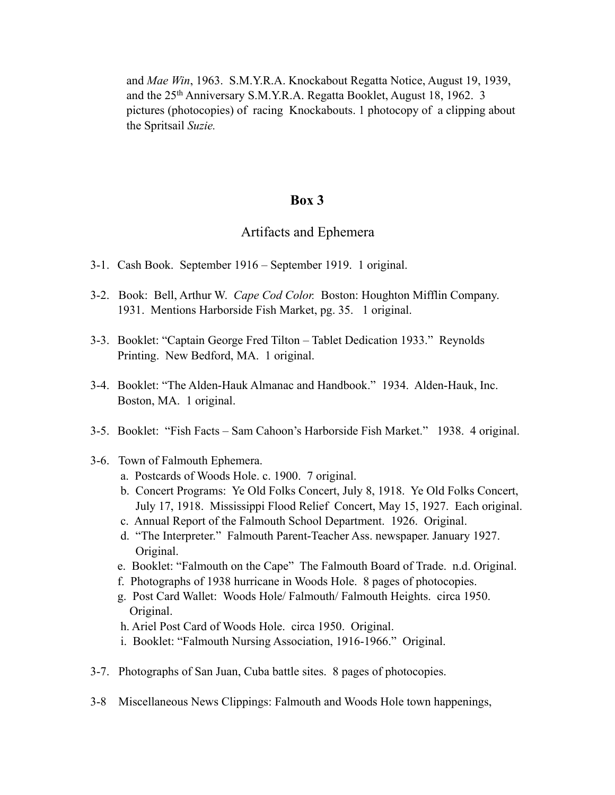and *Mae Win*, 1963. S.M.Y.R.A. Knockabout Regatta Notice, August 19, 1939, and the 25th Anniversary S.M.Y.R.A. Regatta Booklet, August 18, 1962. 3 pictures (photocopies) of racing Knockabouts. 1 photocopy of a clipping about the Spritsail *Suzie.* 

## **Box 3**

### Artifacts and Ephemera

- 3-1. Cash Book. September 1916 September 1919. 1 original.
- 3-2. Book: Bell, Arthur W. *Cape Cod Color.* Boston: Houghton Mifflin Company. 1931. Mentions Harborside Fish Market, pg. 35. 1 original.
- 3-3. Booklet: "Captain George Fred Tilton Tablet Dedication 1933." Reynolds Printing. New Bedford, MA. 1 original.
- 3-4. Booklet: "The Alden-Hauk Almanac and Handbook." 1934. Alden-Hauk, Inc. Boston, MA. 1 original.
- 3-5. Booklet: "Fish Facts Sam Cahoon's Harborside Fish Market." 1938. 4 original.
- 3-6. Town of Falmouth Ephemera.
	- a. Postcards of Woods Hole. c. 1900. 7 original.
	- b. Concert Programs: Ye Old Folks Concert, July 8, 1918. Ye Old Folks Concert, July 17, 1918. Mississippi Flood Relief Concert, May 15, 1927. Each original.
	- c. Annual Report of the Falmouth School Department. 1926. Original.
	- d. "The Interpreter." Falmouth Parent-Teacher Ass. newspaper. January 1927. Original.
	- e. Booklet: "Falmouth on the Cape" The Falmouth Board of Trade. n.d. Original.
	- f. Photographs of 1938 hurricane in Woods Hole. 8 pages of photocopies.
	- g. Post Card Wallet: Woods Hole/ Falmouth/ Falmouth Heights. circa 1950. Original.
	- h. Ariel Post Card of Woods Hole. circa 1950. Original.
	- i. Booklet: "Falmouth Nursing Association, 1916-1966." Original.
- 3-7. Photographs of San Juan, Cuba battle sites. 8 pages of photocopies.
- 3-8 Miscellaneous News Clippings: Falmouth and Woods Hole town happenings,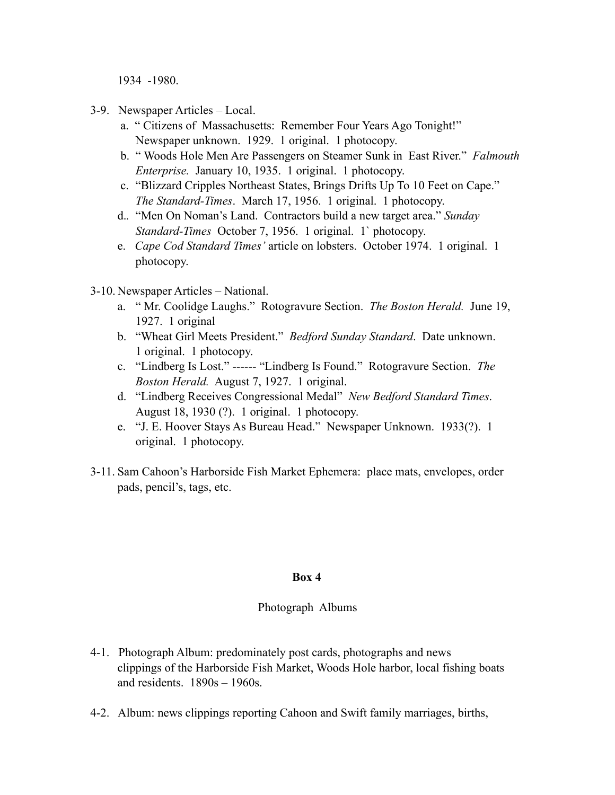1934 -1980.

- 3-9. Newspaper Articles Local.
	- a. " Citizens of Massachusetts: Remember Four Years Ago Tonight!" Newspaper unknown. 1929. 1 original. 1 photocopy.
	- b. " Woods Hole Men Are Passengers on Steamer Sunk in East River." *Falmouth Enterprise.* January 10, 1935. 1 original. 1 photocopy.
	- c. "Blizzard Cripples Northeast States, Brings Drifts Up To 10 Feet on Cape." *The Standard-Times*. March 17, 1956. 1 original. 1 photocopy.
	- d.*.* "Men On Noman's Land. Contractors build a new target area." *Sunday Standard-Times* October 7, 1956. 1 original. 1` photocopy.
	- e. *Cape Cod Standard Times'* article on lobsters. October 1974. 1 original. 1 photocopy.
- 3-10. Newspaper Articles National.
	- a. " Mr. Coolidge Laughs." Rotogravure Section. *The Boston Herald.* June 19, 1927. 1 original
	- b. "Wheat Girl Meets President." *Bedford Sunday Standard*. Date unknown. 1 original. 1 photocopy.
	- c. "Lindberg Is Lost." ------ "Lindberg Is Found." Rotogravure Section. *The Boston Herald.* August 7, 1927. 1 original.
	- d. "Lindberg Receives Congressional Medal" *New Bedford Standard Times*. August 18, 1930 (?). 1 original. 1 photocopy.
	- e. "J. E. Hoover Stays As Bureau Head." Newspaper Unknown. 1933(?). 1 original. 1 photocopy.
- 3-11. Sam Cahoon's Harborside Fish Market Ephemera: place mats, envelopes, order pads, pencil's, tags, etc.

### **Box 4**

### Photograph Albums

- 4-1. Photograph Album: predominately post cards, photographs and news clippings of the Harborside Fish Market, Woods Hole harbor, local fishing boats and residents. 1890s – 1960s.
- 4-2. Album: news clippings reporting Cahoon and Swift family marriages, births,